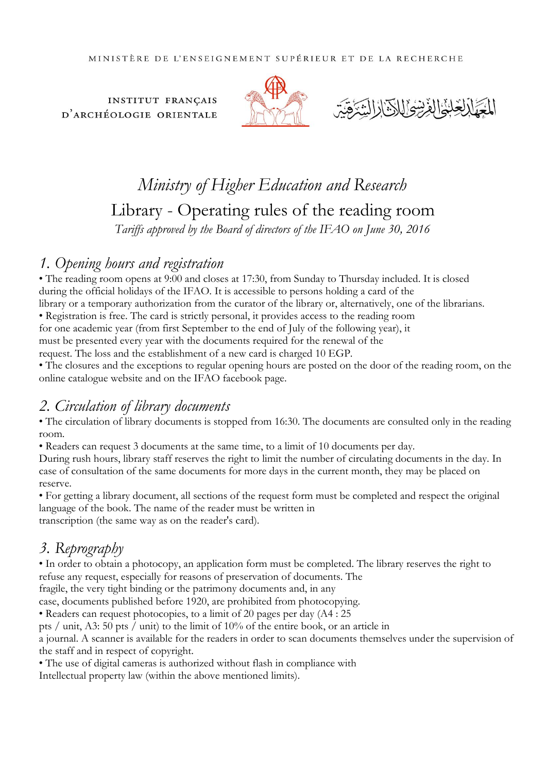**INSTITUT FRANÇAIS** D'ARCHÉOLOGIE ORIENTALE





# *Ministry of Higher Education and Research* Library - Operating rules of the reading room *Tariffs approved by the Board of directors of the IFAO on June 30, 2016*

# *1. Opening hours and registration*

• The reading room opens at 9:00 and closes at 17:30, from Sunday to Thursday included. It is closed during the official holidays of the IFAO. It is accessible to persons holding a card of the library or a temporary authorization from the curator of the library or, alternatively, one of the librarians. • Registration is free. The card is strictly personal, it provides access to the reading room for one academic year (from first September to the end of July of the following year), it must be presented every year with the documents required for the renewal of the

request. The loss and the establishment of a new card is charged 10 EGP.

• The closures and the exceptions to regular opening hours are posted on the door of the reading room, on the online catalogue website and on the IFAO facebook page.

# *2. Circulation of library documents*

• The circulation of library documents is stopped from 16:30. The documents are consulted only in the reading room.

• Readers can request 3 documents at the same time, to a limit of 10 documents per day.

During rush hours, library staff reserves the right to limit the number of circulating documents in the day. In case of consultation of the same documents for more days in the current month, they may be placed on reserve.

• For getting a library document, all sections of the request form must be completed and respect the original language of the book. The name of the reader must be written in transcription (the same way as on the reader's card).

# *3. Reprography*

• In order to obtain a photocopy, an application form must be completed. The library reserves the right to refuse any request, especially for reasons of preservation of documents. The

fragile, the very tight binding or the patrimony documents and, in any

case, documents published before 1920, are prohibited from photocopying.

• Readers can request photocopies, to a limit of 20 pages per day (A4 : 25

pts / unit, A3: 50 pts / unit) to the limit of 10% of the entire book, or an article in

a journal. A scanner is available for the readers in order to scan documents themselves under the supervision of the staff and in respect of copyright.

• The use of digital cameras is authorized without flash in compliance with

Intellectual property law (within the above mentioned limits).